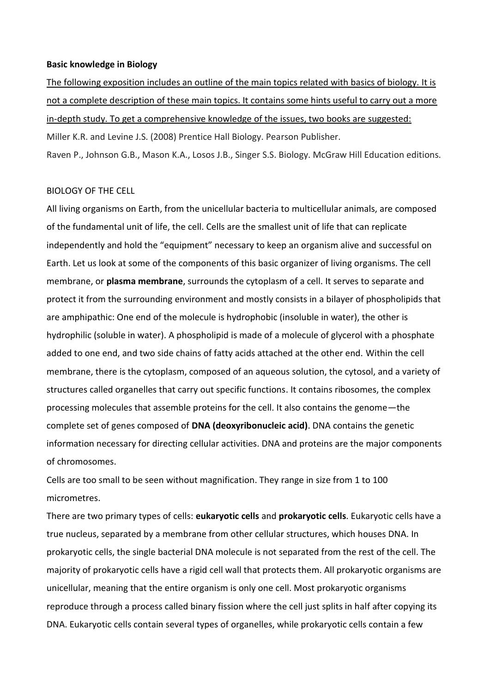### **Basic knowledge in Biology**

The following exposition includes an outline of the main topics related with basics of biology. It is not a complete description of these main topics. It contains some hints useful to carry out a more in-depth study. To get a comprehensive knowledge of the issues, two books are suggested: Miller K.R. and Levine J.S. (2008) Prentice Hall Biology. Pearson Publisher. Raven P., Johnson G.B., Mason K.A., Losos J.B., Singer S.S. Biology. McGraw Hill Education editions.

## BIOLOGY OF THE CELL

All living organisms on Earth, from the unicellular bacteria to multicellular animals, are composed of the fundamental unit of life, the cell. Cells are the smallest unit of life that can replicate independently and hold the "equipment" necessary to keep an organism alive and successful on Earth. Let us look at some of the components of this basic organizer of living organisms. The cell membrane, or **plasma membrane**, surrounds the cytoplasm of a cell. It serves to separate and protect it from the surrounding environment and mostly consists in a bilayer of phospholipids that are amphipathic: One end of the molecule is hydrophobic (insoluble in water), the other is hydrophilic (soluble in water). A phospholipid is made of a molecule of glycerol with a phosphate added to one end, and two side chains of fatty acids attached at the other end. Within the cell membrane, there is the cytoplasm, composed of an aqueous solution, the cytosol, and a variety of structures called organelles that carry out specific functions. It contains ribosomes, the complex processing molecules that assemble proteins for the cell. It also contains the genome—the complete set of genes composed of **DNA (deoxyribonucleic acid)**. DNA contains the genetic information necessary for directing cellular activities. DNA and proteins are the major components of chromosomes.

Cells are too small to be seen without magnification. They range in size from 1 to 100 micrometres.

There are two primary types of cells: **eukaryotic cells** and **prokaryotic cells**. Eukaryotic cells have a true nucleus, separated by a membrane from other cellular structures, which houses DNA. In prokaryotic cells, the single bacterial DNA molecule is not separated from the rest of the cell. The majority of prokaryotic cells have a rigid cell wall that protects them. All prokaryotic organisms are unicellular, meaning that the entire organism is only one cell. Most prokaryotic organisms reproduce through a process called binary fission where the cell just splits in half after copying its DNA. Eukaryotic cells contain several types of organelles, while prokaryotic cells contain a few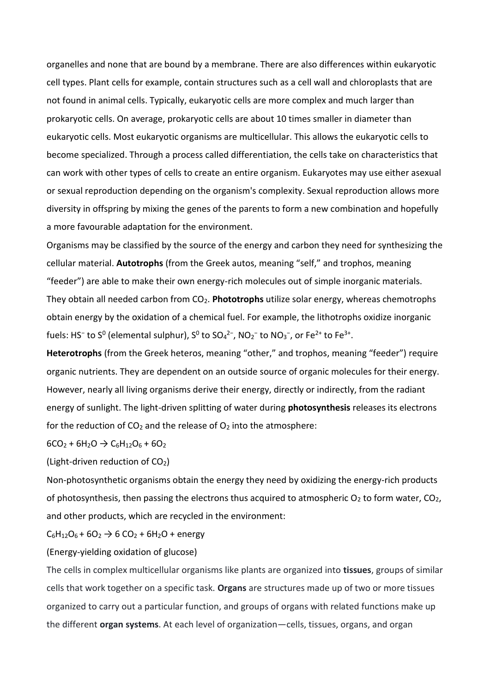organelles and none that are bound by a membrane. There are also differences within eukaryotic cell types. Plant cells for example, contain structures such as a cell wall and chloroplasts that are not found in animal cells. Typically, eukaryotic cells are more complex and much larger than prokaryotic cells. On average, prokaryotic cells are about 10 times smaller in diameter than eukaryotic cells. Most eukaryotic organisms are multicellular. This allows the eukaryotic cells to become specialized. Through a process called differentiation, the cells take on characteristics that can work with other types of cells to create an entire organism. Eukaryotes may use either asexual or sexual reproduction depending on the organism's complexity. Sexual reproduction allows more diversity in offspring by mixing the genes of the parents to form a new combination and hopefully a more favourable adaptation for the environment.

Organisms may be classified by the source of the energy and carbon they need for synthesizing the cellular material. **Autotrophs** (from the Greek autos, meaning "self," and trophos, meaning "feeder") are able to make their own energy-rich molecules out of simple inorganic materials. They obtain all needed carbon from CO2. **Phototrophs** utilize solar energy, whereas chemotrophs obtain energy by the oxidation of a chemical fuel. For example, the lithotrophs oxidize inorganic fuels: HS<sup>-</sup> to S<sup>0</sup> (elemental sulphur), S<sup>0</sup> to SO<sub>4</sub><sup>2-</sup>, NO<sub>2</sub><sup>-</sup> to NO<sub>3</sub><sup>-</sup>, or Fe<sup>2+</sup> to Fe<sup>3+</sup>.

**Heterotrophs** (from the Greek heteros, meaning "other," and trophos, meaning "feeder") require organic nutrients. They are dependent on an outside source of organic molecules for their energy. However, nearly all living organisms derive their energy, directly or indirectly, from the radiant energy of sunlight. The light-driven splitting of water during **photosynthesis** releases its electrons for the reduction of  $CO<sub>2</sub>$  and the release of  $O<sub>2</sub>$  into the atmosphere:

## $6CO_2 + 6H_2O \rightarrow C_6H_{12}O_6 + 6O_2$

# (Light-driven reduction of  $CO<sub>2</sub>$ )

Non-photosynthetic organisms obtain the energy they need by oxidizing the energy-rich products of photosynthesis, then passing the electrons thus acquired to atmospheric  $O_2$  to form water,  $CO_2$ , and other products, which are recycled in the environment:

 $C_6H_{12}O_6 + 6O_2 \rightarrow 6 CO_2 + 6H_2O +$  energy

## (Energy-yielding oxidation of glucose)

The cells in complex multicellular organisms like plants are organized into **tissues**, groups of similar cells that work together on a specific task. **Organs** are structures made up of two or more tissues organized to carry out a particular function, and groups of organs with related functions make up the different **organ systems**. At each level of organization—cells, tissues, organs, and organ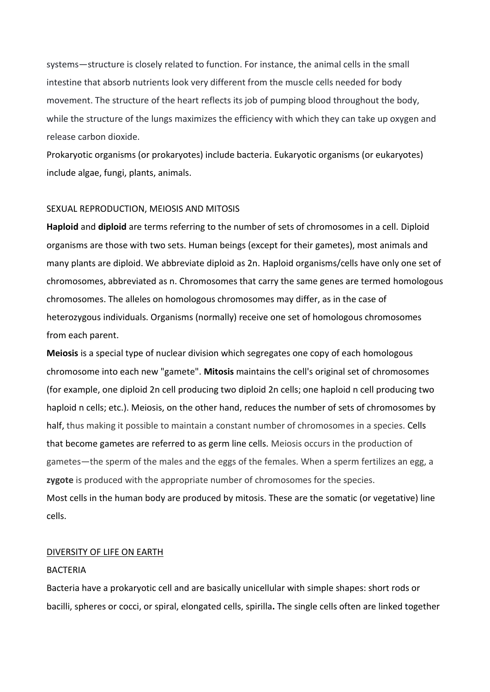systems—structure is closely related to function. For instance, the animal cells in the small intestine that absorb nutrients look very different from the muscle cells needed for body movement. The structure of the heart reflects its job of pumping blood throughout the body, while the structure of the lungs maximizes the efficiency with which they can take up oxygen and release carbon dioxide.

Prokaryotic organisms (or prokaryotes) include bacteria. Eukaryotic organisms (or eukaryotes) include algae, fungi, plants, animals.

## SEXUAL REPRODUCTION, MEIOSIS AND MITOSIS

**Haploid** and **diploid** are terms referring to the number of sets of chromosomes in a cell. Diploid organisms are those with two sets. Human beings (except for their gametes), most animals and many plants are diploid. We abbreviate diploid as 2n. Haploid organisms/cells have only one set of chromosomes, abbreviated as n. Chromosomes that carry the same genes are termed homologous chromosomes. The alleles on homologous chromosomes may differ, as in the case of heterozygous individuals. Organisms (normally) receive one set of homologous chromosomes from each parent.

**Meiosis** is a special type of nuclear division which segregates one copy of each homologous chromosome into each new "gamete". **Mitosis** maintains the cell's original set of chromosomes (for example, one diploid 2n cell producing two diploid 2n cells; one haploid n cell producing two haploid n cells; etc.). Meiosis, on the other hand, reduces the number of sets of chromosomes by half, thus making it possible to maintain a constant number of chromosomes in a species. Cells that become gametes are referred to as germ line cells. Meiosis occurs in the production of gametes—the sperm of the males and the eggs of the females. When a sperm fertilizes an egg, a **zygote** is produced with the appropriate number of chromosomes for the species. Most cells in the human body are produced by mitosis. These are the somatic (or vegetative) line cells.

### DIVERSITY OF LIFE ON EARTH

### BACTERIA

Bacteria have a prokaryotic cell and are basically unicellular with simple shapes: short rods or bacilli, spheres or cocci, or spiral, elongated cells, spirilla**.** The single cells often are linked together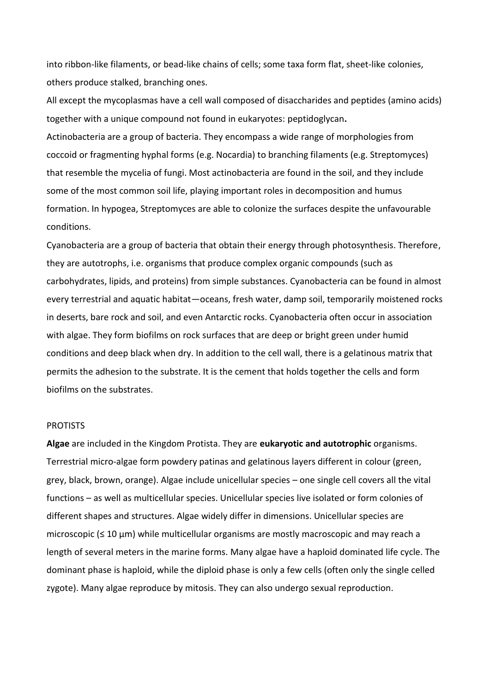into ribbon‐like filaments, or bead‐like chains of cells; some taxa form flat, sheet‐like colonies, others produce stalked, branching ones.

All except the mycoplasmas have a cell wall composed of disaccharides and peptides (amino acids) together with a unique compound not found in eukaryotes: peptidoglycan**.**

Actinobacteria are a group of bacteria. They encompass a wide range of morphologies from coccoid or fragmenting hyphal forms (e.g. Nocardia) to branching filaments (e.g. Streptomyces) that resemble the mycelia of fungi. Most actinobacteria are found in the soil, and they include some of the most common soil life, playing important roles in decomposition and humus formation. In hypogea, Streptomyces are able to colonize the surfaces despite the unfavourable conditions.

Cyanobacteria are a group of bacteria that obtain their energy through photosynthesis. Therefore, they are autotrophs, i.e. organisms that produce complex organic compounds (such as carbohydrates, lipids, and proteins) from simple substances. Cyanobacteria can be found in almost every terrestrial and aquatic habitat—oceans, fresh water, damp soil, temporarily moistened rocks in deserts, bare rock and soil, and even Antarctic rocks. Cyanobacteria often occur in association with algae. They form biofilms on rock surfaces that are deep or bright green under humid conditions and deep black when dry. In addition to the cell wall, there is a gelatinous matrix that permits the adhesion to the substrate. It is the cement that holds together the cells and form biofilms on the substrates.

#### PROTISTS

**Algae** are included in the Kingdom Protista. They are **eukaryotic and autotrophic** organisms. Terrestrial micro-algae form powdery patinas and gelatinous layers different in colour (green, grey, black, brown, orange). Algae include unicellular species – one single cell covers all the vital functions – as well as multicellular species. Unicellular species live isolated or form colonies of different shapes and structures. Algae widely differ in dimensions. Unicellular species are microscopic (≤ 10 μm) while multicellular organisms are mostly macroscopic and may reach a length of several meters in the marine forms. Many algae have a haploid dominated life cycle. The dominant phase is haploid, while the diploid phase is only a few cells (often only the single celled zygote). Many algae reproduce by mitosis. They can also undergo sexual reproduction.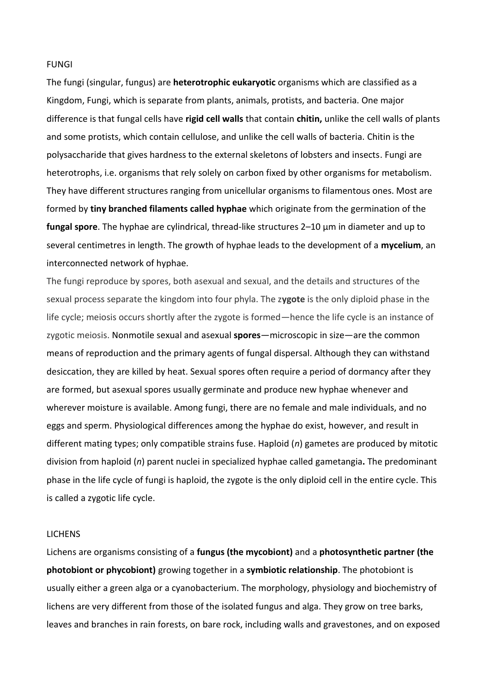#### FUNGI

The fungi (singular, fungus) are **heterotrophic eukaryotic** organisms which are classified as a Kingdom, Fungi, which is separate from plants, animals, protists, and bacteria. One major difference is that fungal cells have **rigid cell walls** that contain **chitin,** unlike the cell walls of plants and some protists, which contain cellulose, and unlike the cell walls of bacteria. Chitin is the polysaccharide that gives hardness to the external skeletons of lobsters and insects. Fungi are heterotrophs, i.e. organisms that rely solely on carbon fixed by other organisms for metabolism. They have different structures ranging from unicellular organisms to filamentous ones. Most are formed by **tiny branched filaments called hyphae** which originate from the germination of the **fungal spore**. The hyphae are cylindrical, thread-like structures 2–10 μm in diameter and up to several centimetres in length. The growth of hyphae leads to the development of a **mycelium**, an interconnected network of hyphae.

The fungi reproduce by spores, both asexual and sexual, and the details and structures of the sexual process separate the kingdom into four phyla. The z**ygote** is the only diploid phase in the life cycle; meiosis occurs shortly after the zygote is formed—hence the life cycle is an instance of zygotic meiosis. Nonmotile sexual and asexual **spores**—microscopic in size—are the common means of reproduction and the primary agents of fungal dispersal. Although they can withstand desiccation, they are killed by heat. Sexual spores often require a period of dormancy after they are formed, but asexual spores usually germinate and produce new hyphae whenever and wherever moisture is available. Among fungi, there are no female and male individuals, and no eggs and sperm. Physiological differences among the hyphae do exist, however, and result in different mating types; only compatible strains fuse. Haploid (*n*) gametes are produced by mitotic division from haploid (*n*) parent nuclei in specialized hyphae called gametangia**.** The predominant phase in the life cycle of fungi is haploid, the zygote is the only diploid cell in the entire cycle. This is called a zygotic life cycle.

### **LICHENS**

Lichens are organisms consisting of a **fungus (the mycobiont)** and a **photosynthetic partner (the photobiont or phycobiont)** growing together in a **symbiotic relationship**. The photobiont is usually either a green alga or a cyanobacterium. The morphology, physiology and biochemistry of lichens are very different from those of the isolated fungus and alga. They grow on tree barks, leaves and branches in rain forests, on bare rock, including walls and gravestones, and on exposed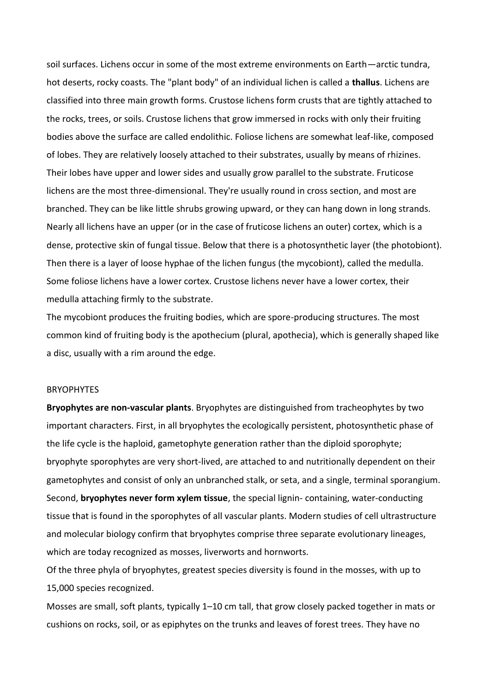soil surfaces. Lichens occur in some of the most extreme environments on Earth—arctic tundra, hot deserts, rocky coasts. The "plant body" of an individual lichen is called a **thallus**. Lichens are classified into three main growth forms. Crustose lichens form crusts that are tightly attached to the rocks, trees, or soils. Crustose lichens that grow immersed in rocks with only their fruiting bodies above the surface are called endolithic. Foliose lichens are somewhat leaf-like, composed of lobes. They are relatively loosely attached to their substrates, usually by means of rhizines. Their lobes have upper and lower sides and usually grow parallel to the substrate. Fruticose lichens are the most three-dimensional. They're usually round in cross section, and most are branched. They can be like little shrubs growing upward, or they can hang down in long strands. Nearly all lichens have an upper (or in the case of fruticose lichens an outer) cortex, which is a dense, protective skin of fungal tissue. Below that there is a photosynthetic layer (the photobiont). Then there is a layer of loose hyphae of the lichen fungus (the mycobiont), called the medulla. Some foliose lichens have a lower cortex. Crustose lichens never have a lower cortex, their medulla attaching firmly to the substrate.

The mycobiont produces the fruiting bodies, which are spore-producing structures. The most common kind of fruiting body is the apothecium (plural, apothecia), which is generally shaped like a disc, usually with a rim around the edge.

#### **BRYOPHYTES**

**Bryophytes are non-vascular plants**. Bryophytes are distinguished from tracheophytes by two important characters. First, in all bryophytes the ecologically persistent, photosynthetic phase of the life cycle is the haploid, gametophyte generation rather than the diploid sporophyte; bryophyte sporophytes are very short-lived, are attached to and nutritionally dependent on their gametophytes and consist of only an unbranched stalk, or seta, and a single, terminal sporangium. Second, **bryophytes never form xylem tissue**, the special lignin- containing, water-conducting tissue that is found in the sporophytes of all vascular plants. Modern studies of cell ultrastructure and molecular biology confirm that bryophytes comprise three separate evolutionary lineages, which are today recognized as mosses, liverworts and hornworts.

Of the three phyla of bryophytes, greatest species diversity is found in the mosses, with up to 15,000 species recognized.

Mosses are small, soft plants, typically 1–10 cm tall, that grow closely packed together in mats or cushions on rocks, soil, or as epiphytes on the trunks and leaves of forest trees. They have no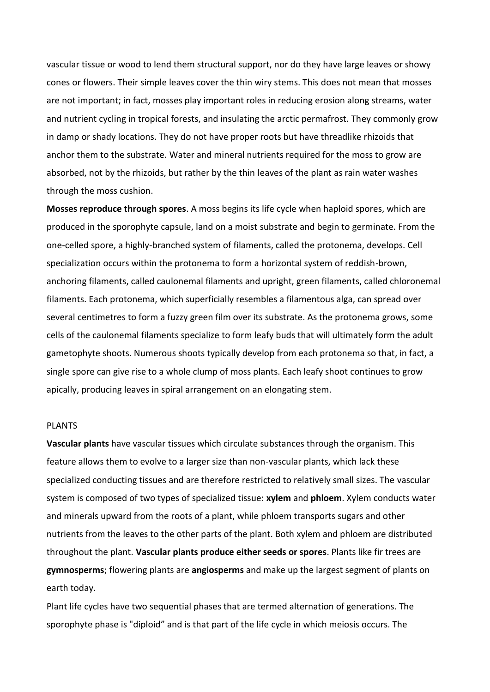vascular tissue or wood to lend them structural support, nor do they have large leaves or showy cones or flowers. Their simple leaves cover the thin wiry stems. This does not mean that mosses are not important; in fact, mosses play important roles in reducing erosion along streams, water and nutrient cycling in tropical forests, and insulating the arctic permafrost. They commonly grow in damp or shady locations. They do not have proper roots but have threadlike rhizoids that anchor them to the substrate. Water and mineral nutrients required for the moss to grow are absorbed, not by the rhizoids, but rather by the thin leaves of the plant as rain water washes through the moss cushion.

**Mosses reproduce through spores**. A moss begins its life cycle when haploid spores, which are produced in the sporophyte capsule, land on a moist substrate and begin to germinate. From the one-celled spore, a highly-branched system of filaments, called the protonema, develops. Cell specialization occurs within the protonema to form a horizontal system of reddish-brown, anchoring filaments, called caulonemal filaments and upright, green filaments, called chloronemal filaments. Each protonema, which superficially resembles a filamentous alga, can spread over several centimetres to form a fuzzy green film over its substrate. As the protonema grows, some cells of the caulonemal filaments specialize to form leafy buds that will ultimately form the adult gametophyte shoots. Numerous shoots typically develop from each protonema so that, in fact, a single spore can give rise to a whole clump of moss plants. Each leafy shoot continues to grow apically, producing leaves in spiral arrangement on an elongating stem.

#### PLANTS

**Vascular plants** have vascular tissues which circulate substances through the organism. This feature allows them to evolve to a larger size than non-vascular plants, which lack these specialized conducting tissues and are therefore restricted to relatively small sizes. The vascular system is composed of two types of specialized tissue: **xylem** and **phloem**. Xylem conducts water and minerals upward from the roots of a plant, while phloem transports sugars and other nutrients from the leaves to the other parts of the plant. Both xylem and phloem are distributed throughout the plant. **Vascular plants produce either seeds or spores**. Plants like fir trees are **gymnosperms**; flowering plants are **angiosperms** and make up the largest segment of plants on earth today.

Plant life cycles have two sequential phases that are termed alternation of generations. The sporophyte phase is "diploid" and is that part of the life cycle in which meiosis occurs. The